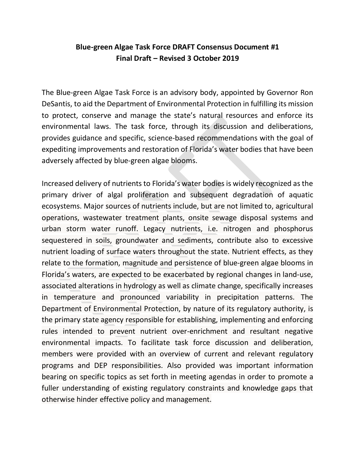# **Blue-green Algae Task Force DRAFT Consensus Document #1 Final Draft – Revised 3 October 2019**

The Blue-green Algae Task Force is an advisory body, appointed by Governor Ron DeSantis, to aid the Department of Environmental Protection in fulfilling its mission to protect, conserve and manage the state's natural resources and enforce its environmental laws. The task force, through its discussion and deliberations, provides guidance and specific, science-based recommendations with the goal of expediting improvements and restoration of Florida's water bodies that have been adversely affected by blue-green algae blooms.

Increased delivery of nutrients to Florida's water bodies is widely recognized as the primary driver of algal proliferation and subsequent degradation of aquatic ecosystems. Major sources of nutrients include, but are not limited to, agricultural operations, wastewater treatment plants, onsite sewage disposal systems and urban storm water runoff. Legacy nutrients, i.e. nitrogen and phosphorus sequestered in soils, groundwater and sediments, contribute also to excessive nutrient loading of surface waters throughout the state. Nutrient effects, as they relate to the formation, magnitude and persistence of blue-green algae blooms in Florida's waters, are expected to be exacerbated by regional changes in land-use, associated alterations in hydrology as well as climate change, specifically increases in temperature and pronounced variability in precipitation patterns. The Department of Environmental Protection, by nature of its regulatory authority, is the primary state agency responsible for establishing, implementing and enforcing rules intended to prevent nutrient over-enrichment and resultant negative environmental impacts. To facilitate task force discussion and deliberation, members were provided with an overview of current and relevant regulatory programs and DEP responsibilities. Also provided was important information bearing on specific topics as set forth in meeting agendas in order to promote a fuller understanding of existing regulatory constraints and knowledge gaps that otherwise hinder effective policy and management.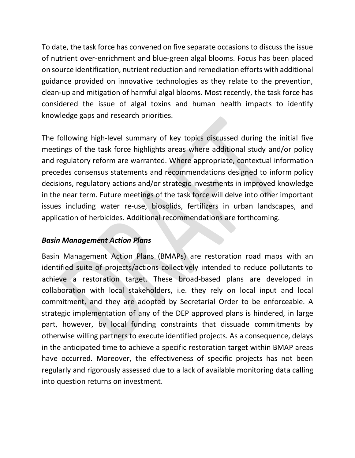To date, the task force has convened on five separate occasions to discuss the issue of nutrient over-enrichment and blue-green algal blooms. Focus has been placed on source identification, nutrient reduction and remediation efforts with additional guidance provided on innovative technologies as they relate to the prevention, clean-up and mitigation of harmful algal blooms. Most recently, the task force has considered the issue of algal toxins and human health impacts to identify knowledge gaps and research priorities.

The following high-level summary of key topics discussed during the initial five meetings of the task force highlights areas where additional study and/or policy and regulatory reform are warranted. Where appropriate, contextual information precedes consensus statements and recommendations designed to inform policy decisions, regulatory actions and/or strategic investments in improved knowledge in the near term. Future meetings of the task force will delve into other important issues including water re-use, biosolids, fertilizers in urban landscapes, and application of herbicides. Additional recommendations are forthcoming.

### *Basin Management Action Plans*

Basin Management Action Plans (BMAPs) are restoration road maps with an identified suite of projects/actions collectively intended to reduce pollutants to achieve a restoration target. These broad-based plans are developed in collaboration with local stakeholders, i.e. they rely on local input and local commitment, and they are adopted by Secretarial Order to be enforceable. A strategic implementation of any of the DEP approved plans is hindered, in large part, however, by local funding constraints that dissuade commitments by otherwise willing partners to execute identified projects. As a consequence, delays in the anticipated time to achieve a specific restoration target within BMAP areas have occurred. Moreover, the effectiveness of specific projects has not been regularly and rigorously assessed due to a lack of available monitoring data calling into question returns on investment.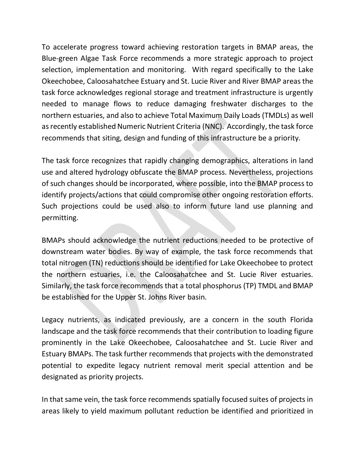To accelerate progress toward achieving restoration targets in BMAP areas, the Blue-green Algae Task Force recommends a more strategic approach to project selection, implementation and monitoring. With regard specifically to the Lake Okeechobee, Caloosahatchee Estuary and St. Lucie River and River BMAP areas the task force acknowledges regional storage and treatment infrastructure is urgently needed to manage flows to reduce damaging freshwater discharges to the northern estuaries, and also to achieve Total Maximum Daily Loads (TMDLs) as well asrecently established Numeric Nutrient Criteria (NNC). Accordingly, the task force recommends that siting, design and funding of this infrastructure be a priority.

The task force recognizes that rapidly changing demographics, alterations in land use and altered hydrology obfuscate the BMAP process. Nevertheless, projections of such changes should be incorporated, where possible, into the BMAP process to identify projects/actions that could compromise other ongoing restoration efforts. Such projections could be used also to inform future land use planning and permitting.

BMAPs should acknowledge the nutrient reductions needed to be protective of downstream water bodies. By way of example, the task force recommends that total nitrogen (TN) reductions should be identified for Lake Okeechobee to protect the northern estuaries, i.e. the Caloosahatchee and St. Lucie River estuaries. Similarly, the task force recommends that a total phosphorus (TP) TMDL and BMAP be established for the Upper St. Johns River basin.

Legacy nutrients, as indicated previously, are a concern in the south Florida landscape and the task force recommends that their contribution to loading figure prominently in the Lake Okeechobee, Caloosahatchee and St. Lucie River and Estuary BMAPs. The task further recommends that projects with the demonstrated potential to expedite legacy nutrient removal merit special attention and be designated as priority projects.

In that same vein, the task force recommends spatially focused suites of projects in areas likely to yield maximum pollutant reduction be identified and prioritized in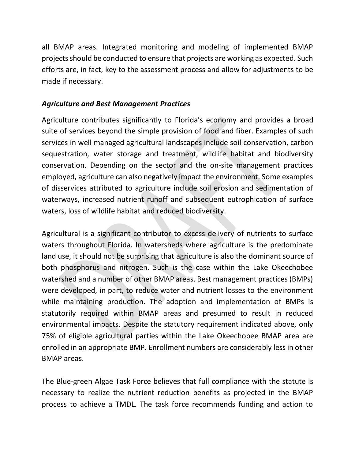all BMAP areas. Integrated monitoring and modeling of implemented BMAP projects should be conducted to ensure that projects are working as expected. Such efforts are, in fact, key to the assessment process and allow for adjustments to be made if necessary.

#### *Agriculture and Best Management Practices*

Agriculture contributes significantly to Florida's economy and provides a broad suite of services beyond the simple provision of food and fiber. Examples of such services in well managed agricultural landscapes include soil conservation, carbon sequestration, water storage and treatment, wildlife habitat and biodiversity conservation. Depending on the sector and the on-site management practices employed, agriculture can also negatively impact the environment. Some examples of disservices attributed to agriculture include soil erosion and sedimentation of waterways, increased nutrient runoff and subsequent eutrophication of surface waters, loss of wildlife habitat and reduced biodiversity.

Agricultural is a significant contributor to excess delivery of nutrients to surface waters throughout Florida. In watersheds where agriculture is the predominate land use, it should not be surprising that agriculture is also the dominant source of both phosphorus and nitrogen. Such is the case within the Lake Okeechobee watershed and a number of other BMAP areas. Best management practices (BMPs) were developed, in part, to reduce water and nutrient losses to the environment while maintaining production. The adoption and implementation of BMPs is statutorily required within BMAP areas and presumed to result in reduced environmental impacts. Despite the statutory requirement indicated above, only 75% of eligible agricultural parties within the Lake Okeechobee BMAP area are enrolled in an appropriate BMP. Enrollment numbers are considerably less in other BMAP areas.

The Blue-green Algae Task Force believes that full compliance with the statute is necessary to realize the nutrient reduction benefits as projected in the BMAP process to achieve a TMDL. The task force recommends funding and action to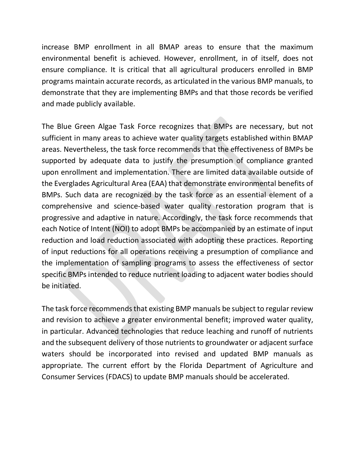increase BMP enrollment in all BMAP areas to ensure that the maximum environmental benefit is achieved. However, enrollment, in of itself, does not ensure compliance. It is critical that all agricultural producers enrolled in BMP programs maintain accurate records, as articulated in the various BMP manuals, to demonstrate that they are implementing BMPs and that those records be verified and made publicly available.

The Blue Green Algae Task Force recognizes that BMPs are necessary, but not sufficient in many areas to achieve water quality targets established within BMAP areas. Nevertheless, the task force recommends that the effectiveness of BMPs be supported by adequate data to justify the presumption of compliance granted upon enrollment and implementation. There are limited data available outside of the Everglades Agricultural Area (EAA) that demonstrate environmental benefits of BMPs. Such data are recognized by the task force as an essential element of a comprehensive and science-based water quality restoration program that is progressive and adaptive in nature. Accordingly, the task force recommends that each Notice of Intent (NOI) to adopt BMPs be accompanied by an estimate of input reduction and load reduction associated with adopting these practices. Reporting of input reductions for all operations receiving a presumption of compliance and the implementation of sampling programs to assess the effectiveness of sector specific BMPs intended to reduce nutrient loading to adjacent water bodies should be initiated.

The task force recommends that existing BMP manuals be subject to regular review and revision to achieve a greater environmental benefit; improved water quality, in particular. Advanced technologies that reduce leaching and runoff of nutrients and the subsequent delivery of those nutrients to groundwater or adjacent surface waters should be incorporated into revised and updated BMP manuals as appropriate. The current effort by the Florida Department of Agriculture and Consumer Services (FDACS) to update BMP manuals should be accelerated.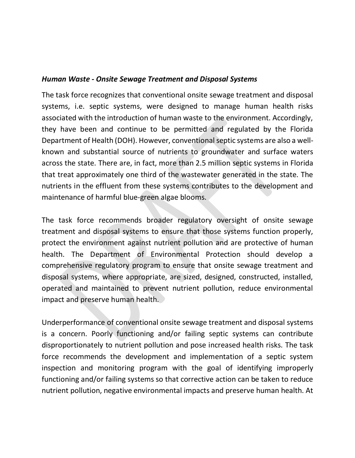#### *Human Waste - Onsite Sewage Treatment and Disposal Systems*

The task force recognizes that conventional onsite sewage treatment and disposal systems, i.e. septic systems, were designed to manage human health risks associated with the introduction of human waste to the environment. Accordingly, they have been and continue to be permitted and regulated by the Florida Department of Health (DOH). However, conventional septic systems are also a wellknown and substantial source of nutrients to groundwater and surface waters across the state. There are, in fact, more than 2.5 million septic systems in Florida that treat approximately one third of the wastewater generated in the state. The nutrients in the effluent from these systems contributes to the development and maintenance of harmful blue-green algae blooms.

The task force recommends broader regulatory oversight of onsite sewage treatment and disposal systems to ensure that those systems function properly, protect the environment against nutrient pollution and are protective of human health. The Department of Environmental Protection should develop a comprehensive regulatory program to ensure that onsite sewage treatment and disposal systems, where appropriate, are sized, designed, constructed, installed, operated and maintained to prevent nutrient pollution, reduce environmental impact and preserve human health.

Underperformance of conventional onsite sewage treatment and disposal systems is a concern. Poorly functioning and/or failing septic systems can contribute disproportionately to nutrient pollution and pose increased health risks. The task force recommends the development and implementation of a septic system inspection and monitoring program with the goal of identifying improperly functioning and/or failing systems so that corrective action can be taken to reduce nutrient pollution, negative environmental impacts and preserve human health. At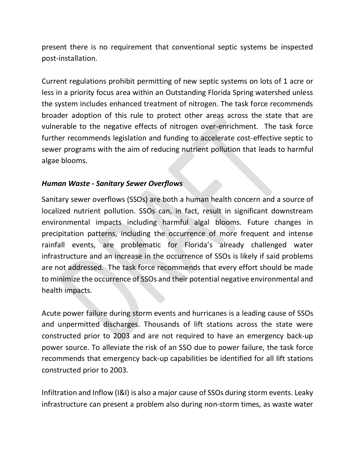present there is no requirement that conventional septic systems be inspected post-installation.

Current regulations prohibit permitting of new septic systems on lots of 1 acre or less in a priority focus area within an Outstanding Florida Spring watershed unless the system includes enhanced treatment of nitrogen. The task force recommends broader adoption of this rule to protect other areas across the state that are vulnerable to the negative effects of nitrogen over-enrichment. The task force further recommends legislation and funding to accelerate cost-effective septic to sewer programs with the aim of reducing nutrient pollution that leads to harmful algae blooms.

### *Human Waste - Sanitary Sewer Overflows*

Sanitary sewer overflows (SSOs) are both a human health concern and a source of localized nutrient pollution. SSOs can, in fact, result in significant downstream environmental impacts including harmful algal blooms. Future changes in precipitation patterns, including the occurrence of more frequent and intense rainfall events, are problematic for Florida's already challenged water infrastructure and an increase in the occurrence of SSOs is likely if said problems are not addressed. The task force recommends that every effort should be made to minimize the occurrence of SSOs and their potential negative environmental and health impacts.

Acute power failure during storm events and hurricanes is a leading cause of SSOs and unpermitted discharges. Thousands of lift stations across the state were constructed prior to 2003 and are not required to have an emergency back-up power source. To alleviate the risk of an SSO due to power failure, the task force recommends that emergency back-up capabilities be identified for all lift stations constructed prior to 2003.

Infiltration and Inflow (I&I) is also a major cause of SSOs during storm events. Leaky infrastructure can present a problem also during non-storm times, as waste water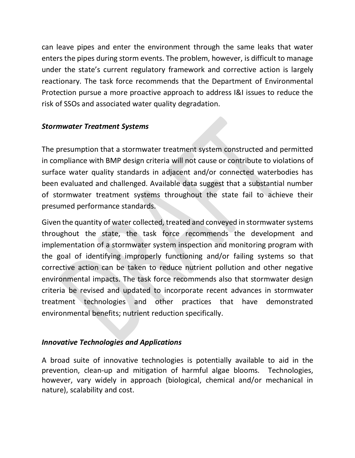can leave pipes and enter the environment through the same leaks that water enters the pipes during storm events. The problem, however, is difficult to manage under the state's current regulatory framework and corrective action is largely reactionary. The task force recommends that the Department of Environmental Protection pursue a more proactive approach to address I&I issues to reduce the risk of SSOs and associated water quality degradation.

# *Stormwater Treatment Systems*

The presumption that a stormwater treatment system constructed and permitted in compliance with BMP design criteria will not cause or contribute to violations of surface water quality standards in adjacent and/or connected waterbodies has been evaluated and challenged. Available data suggest that a substantial number of stormwater treatment systems throughout the state fail to achieve their presumed performance standards.

Given the quantity of water collected, treated and conveyed in stormwater systems throughout the state, the task force recommends the development and implementation of a stormwater system inspection and monitoring program with the goal of identifying improperly functioning and/or failing systems so that corrective action can be taken to reduce nutrient pollution and other negative environmental impacts. The task force recommends also that stormwater design criteria be revised and updated to incorporate recent advances in stormwater treatment technologies and other practices that have demonstrated environmental benefits; nutrient reduction specifically.

### *Innovative Technologies and Applications*

A broad suite of innovative technologies is potentially available to aid in the prevention, clean-up and mitigation of harmful algae blooms. Technologies, however, vary widely in approach (biological, chemical and/or mechanical in nature), scalability and cost.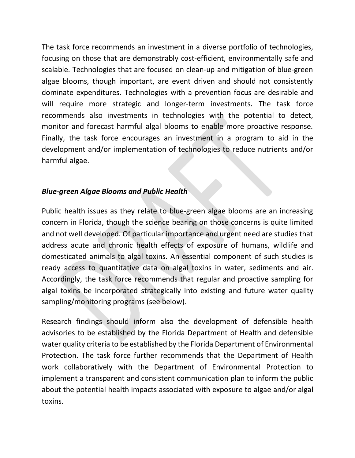The task force recommends an investment in a diverse portfolio of technologies, focusing on those that are demonstrably cost-efficient, environmentally safe and scalable. Technologies that are focused on clean-up and mitigation of blue-green algae blooms, though important, are event driven and should not consistently dominate expenditures. Technologies with a prevention focus are desirable and will require more strategic and longer-term investments. The task force recommends also investments in technologies with the potential to detect, monitor and forecast harmful algal blooms to enable more proactive response. Finally, the task force encourages an investment in a program to aid in the development and/or implementation of technologies to reduce nutrients and/or harmful algae.

### *Blue-green Algae Blooms and Public Health*

Public health issues as they relate to blue-green algae blooms are an increasing concern in Florida, though the science bearing on those concerns is quite limited and not well developed. Of particular importance and urgent need are studies that address acute and chronic health effects of exposure of humans, wildlife and domesticated animals to algal toxins. An essential component of such studies is ready access to quantitative data on algal toxins in water, sediments and air. Accordingly, the task force recommends that regular and proactive sampling for algal toxins be incorporated strategically into existing and future water quality sampling/monitoring programs (see below).

Research findings should inform also the development of defensible health advisories to be established by the Florida Department of Health and defensible water quality criteria to be established by the Florida Department of Environmental Protection. The task force further recommends that the Department of Health work collaboratively with the Department of Environmental Protection to implement a transparent and consistent communication plan to inform the public about the potential health impacts associated with exposure to algae and/or algal toxins.